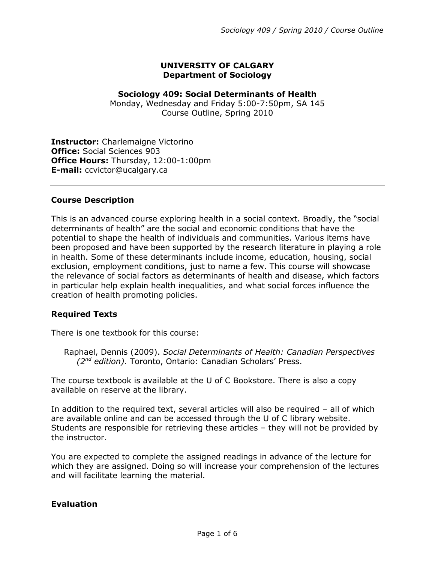## **UNIVERSITY OF CALGARY Department of Sociology**

## **Sociology 409: Social Determinants of Health**

Monday, Wednesday and Friday 5:00-7:50pm, SA 145 Course Outline, Spring 2010

**Instructor:** Charlemaigne Victorino **Office:** Social Sciences 903 **Office Hours:** Thursday, 12:00-1:00pm **E-mail:** ccvictor@ucalgary.ca

## **Course Description**

This is an advanced course exploring health in a social context. Broadly, the "social determinants of health" are the social and economic conditions that have the potential to shape the health of individuals and communities. Various items have been proposed and have been supported by the research literature in playing a role in health. Some of these determinants include income, education, housing, social exclusion, employment conditions, just to name a few. This course will showcase the relevance of social factors as determinants of health and disease, which factors in particular help explain health inequalities, and what social forces influence the creation of health promoting policies.

# **Required Texts**

There is one textbook for this course:

Raphael, Dennis (2009). *Social Determinants of Health: Canadian Perspectives (2nd edition).* Toronto, Ontario: Canadian Scholars' Press.

The course textbook is available at the U of C Bookstore. There is also a copy available on reserve at the library.

In addition to the required text, several articles will also be required – all of which are available online and can be accessed through the U of C library website. Students are responsible for retrieving these articles – they will not be provided by the instructor.

You are expected to complete the assigned readings in advance of the lecture for which they are assigned. Doing so will increase your comprehension of the lectures and will facilitate learning the material.

# **Evaluation**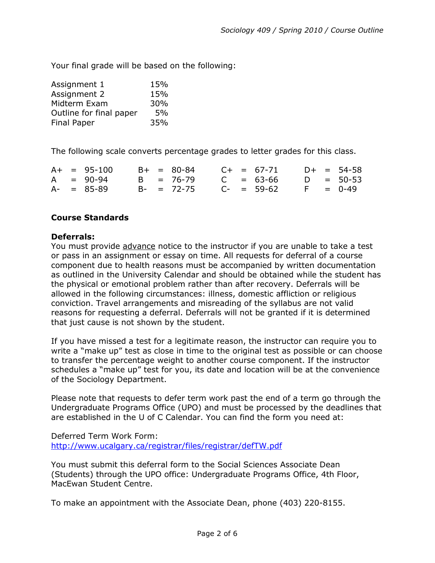Your final grade will be based on the following:

| Assignment 1            | 15% |
|-------------------------|-----|
| Assignment 2            | 15% |
| Midterm Exam            | 30% |
| Outline for final paper | 5%  |
| <b>Final Paper</b>      | 35% |

The following scale converts percentage grades to letter grades for this class.

|  | $A+ = 95-100$   |  | $B+ = 80-84$    |  | $C_{+}$ = 67-71 |  | $D+ = 54-58$ |
|--|-----------------|--|-----------------|--|-----------------|--|--------------|
|  | $A = 90-94$     |  | B = 76-79       |  | $C = 63-66$     |  | $D = 50-53$  |
|  | $A - = 85 - 89$ |  | $B - = 72 - 75$ |  | $C- = 59-62$    |  | $F = 0-49$   |

# **Course Standards**

## **Deferrals:**

You must provide advance notice to the instructor if you are unable to take a test or pass in an assignment or essay on time. All requests for deferral of a course component due to health reasons must be accompanied by written documentation as outlined in the University Calendar and should be obtained while the student has the physical or emotional problem rather than after recovery. Deferrals will be allowed in the following circumstances: illness, domestic affliction or religious conviction. Travel arrangements and misreading of the syllabus are not valid reasons for requesting a deferral. Deferrals will not be granted if it is determined that just cause is not shown by the student.

If you have missed a test for a legitimate reason, the instructor can require you to write a "make up" test as close in time to the original test as possible or can choose to transfer the percentage weight to another course component. If the instructor schedules a "make up" test for you, its date and location will be at the convenience of the Sociology Department.

Please note that requests to defer term work past the end of a term go through the Undergraduate Programs Office (UPO) and must be processed by the deadlines that are established in the U of C Calendar. You can find the form you need at:

Deferred Term Work Form: <http://www.ucalgary.ca/registrar/files/registrar/defTW.pdf>

You must submit this deferral form to the Social Sciences Associate Dean (Students) through the UPO office: Undergraduate Programs Office, 4th Floor, MacEwan Student Centre.

To make an appointment with the Associate Dean, phone (403) 220-8155.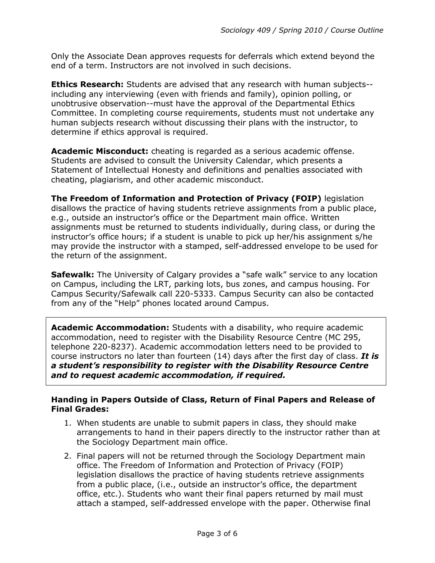Only the Associate Dean approves requests for deferrals which extend beyond the end of a term. Instructors are not involved in such decisions.

**Ethics Research:** Students are advised that any research with human subjects- including any interviewing (even with friends and family), opinion polling, or unobtrusive observation--must have the approval of the Departmental Ethics Committee. In completing course requirements, students must not undertake any human subjects research without discussing their plans with the instructor, to determine if ethics approval is required.

**Academic Misconduct:** cheating is regarded as a serious academic offense. Students are advised to consult the University Calendar, which presents a Statement of Intellectual Honesty and definitions and penalties associated with cheating, plagiarism, and other academic misconduct.

**The Freedom of Information and Protection of Privacy (FOIP)** legislation disallows the practice of having students retrieve assignments from a public place, e.g., outside an instructor's office or the Department main office. Written assignments must be returned to students individually, during class, or during the instructor's office hours; if a student is unable to pick up her/his assignment s/he may provide the instructor with a stamped, self-addressed envelope to be used for the return of the assignment.

**Safewalk:** The University of Calgary provides a "safe walk" service to any location on Campus, including the LRT, parking lots, bus zones, and campus housing. For Campus Security/Safewalk call 220-5333. Campus Security can also be contacted from any of the "Help" phones located around Campus.

**Academic Accommodation:** Students with a disability, who require academic accommodation, need to register with the Disability Resource Centre (MC 295, telephone 220-8237). Academic accommodation letters need to be provided to course instructors no later than fourteen (14) days after the first day of class. *It is a student's responsibility to register with the Disability Resource Centre and to request academic accommodation, if required.*

## **Handing in Papers Outside of Class, Return of Final Papers and Release of Final Grades:**

- 1. When students are unable to submit papers in class, they should make arrangements to hand in their papers directly to the instructor rather than at the Sociology Department main office.
- 2. Final papers will not be returned through the Sociology Department main office. The Freedom of Information and Protection of Privacy (FOIP) legislation disallows the practice of having students retrieve assignments from a public place, (i.e., outside an instructor's office, the department office, etc.). Students who want their final papers returned by mail must attach a stamped, self-addressed envelope with the paper. Otherwise final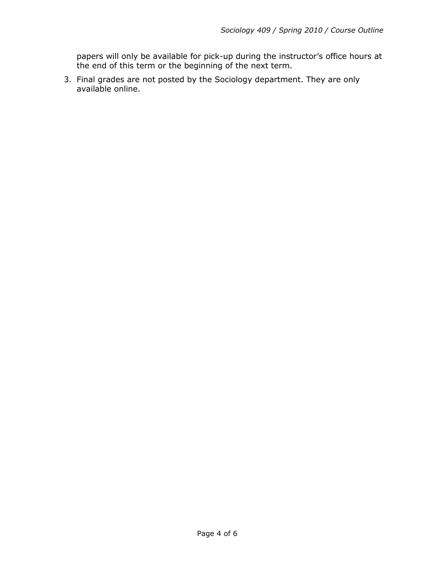papers will only be available for pick-up during the instructor's office hours at the end of this term or the beginning of the next term.

3. Final grades are not posted by the Sociology department. They are only available online.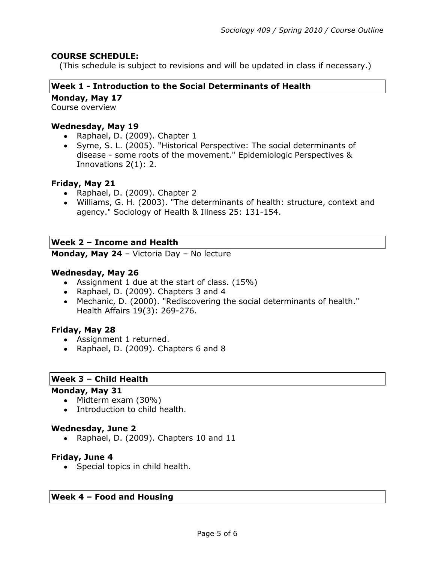## **COURSE SCHEDULE:**

(This schedule is subject to revisions and will be updated in class if necessary.)

### **Week 1 - Introduction to the Social Determinants of Health**

**Monday, May 17**

Course overview

### **Wednesday, May 19**

- Raphael, D. (2009). Chapter 1
- Syme, S. L. (2005). "Historical Perspective: The social determinants of disease - some roots of the movement." Epidemiologic Perspectives & Innovations 2(1): 2.

### **Friday, May 21**

- Raphael, D. (2009). Chapter 2
- Williams, G. H. (2003). "The determinants of health: structure, context and agency." Sociology of Health & Illness 25: 131-154.

### **Week 2 – Income and Health**

**Monday, May 24** – Victoria Day – No lecture

### **Wednesday, May 26**

- Assignment 1 due at the start of class. (15%)
- Raphael, D. (2009). Chapters 3 and 4
- Mechanic, D. (2000). "Rediscovering the social determinants of health." Health Affairs 19(3): 269-276.

### **Friday, May 28**

- Assignment 1 returned.
- Raphael, D. (2009). Chapters 6 and 8

#### **Week 3 – Child Health**

#### **Monday, May 31**

- Midterm exam (30%)
- Introduction to child health.

#### **Wednesday, June 2**

• Raphael, D. (2009). Chapters 10 and 11

#### **Friday, June 4**

• Special topics in child health.

#### **Week 4 – Food and Housing**